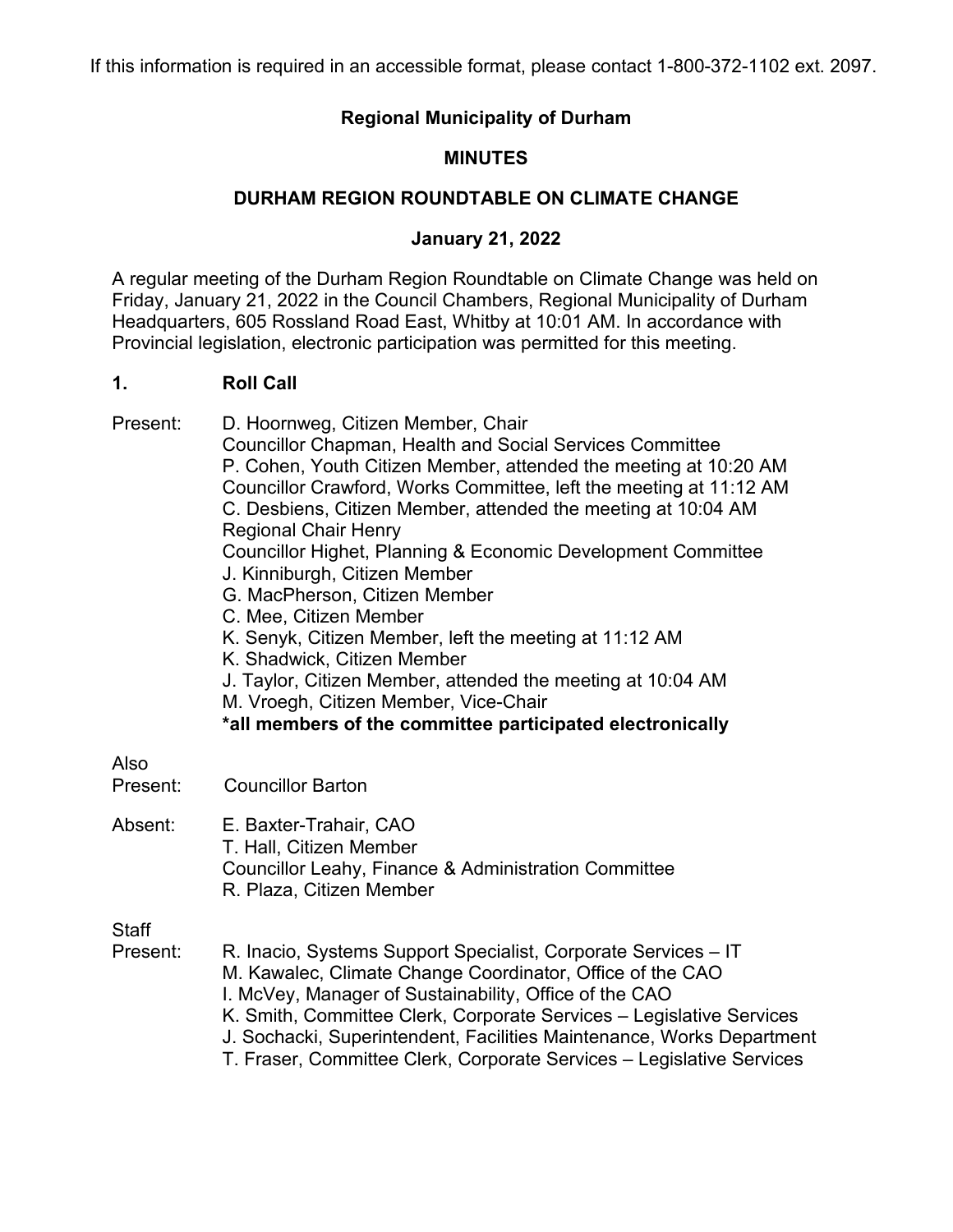# **Regional Municipality of Durham**

# **MINUTES**

# **DURHAM REGION ROUNDTABLE ON CLIMATE CHANGE**

### **January 21, 2022**

A regular meeting of the Durham Region Roundtable on Climate Change was held on Friday, January 21, 2022 in the Council Chambers, Regional Municipality of Durham Headquarters, 605 Rossland Road East, Whitby at 10:01 AM. In accordance with Provincial legislation, electronic participation was permitted for this meeting.

#### **1. Roll Call**

Present: D. Hoornweg, Citizen Member, Chair Councillor Chapman, Health and Social Services Committee P. Cohen, Youth Citizen Member, attended the meeting at 10:20 AM Councillor Crawford, Works Committee, left the meeting at 11:12 AM C. Desbiens, Citizen Member, attended the meeting at 10:04 AM Regional Chair Henry Councillor Highet, Planning & Economic Development Committee J. Kinniburgh, Citizen Member G. MacPherson, Citizen Member C. Mee, Citizen Member K. Senyk, Citizen Member, left the meeting at 11:12 AM K. Shadwick, Citizen Member J. Taylor, Citizen Member, attended the meeting at 10:04 AM M. Vroegh, Citizen Member, Vice-Chair **\*all members of the committee participated electronically** Also Present: Councillor Barton Absent: E. Baxter-Trahair, CAO T. Hall, Citizen Member Councillor Leahy, Finance & Administration Committee R. Plaza, Citizen Member **Staff** Present: R. Inacio, Systems Support Specialist, Corporate Services – IT M. Kawalec, Climate Change Coordinator, Office of the CAO I. McVey, Manager of Sustainability, Office of the CAO K. Smith, Committee Clerk, Corporate Services – Legislative Services J. Sochacki, Superintendent, Facilities Maintenance, Works Department T. Fraser, Committee Clerk, Corporate Services – Legislative Services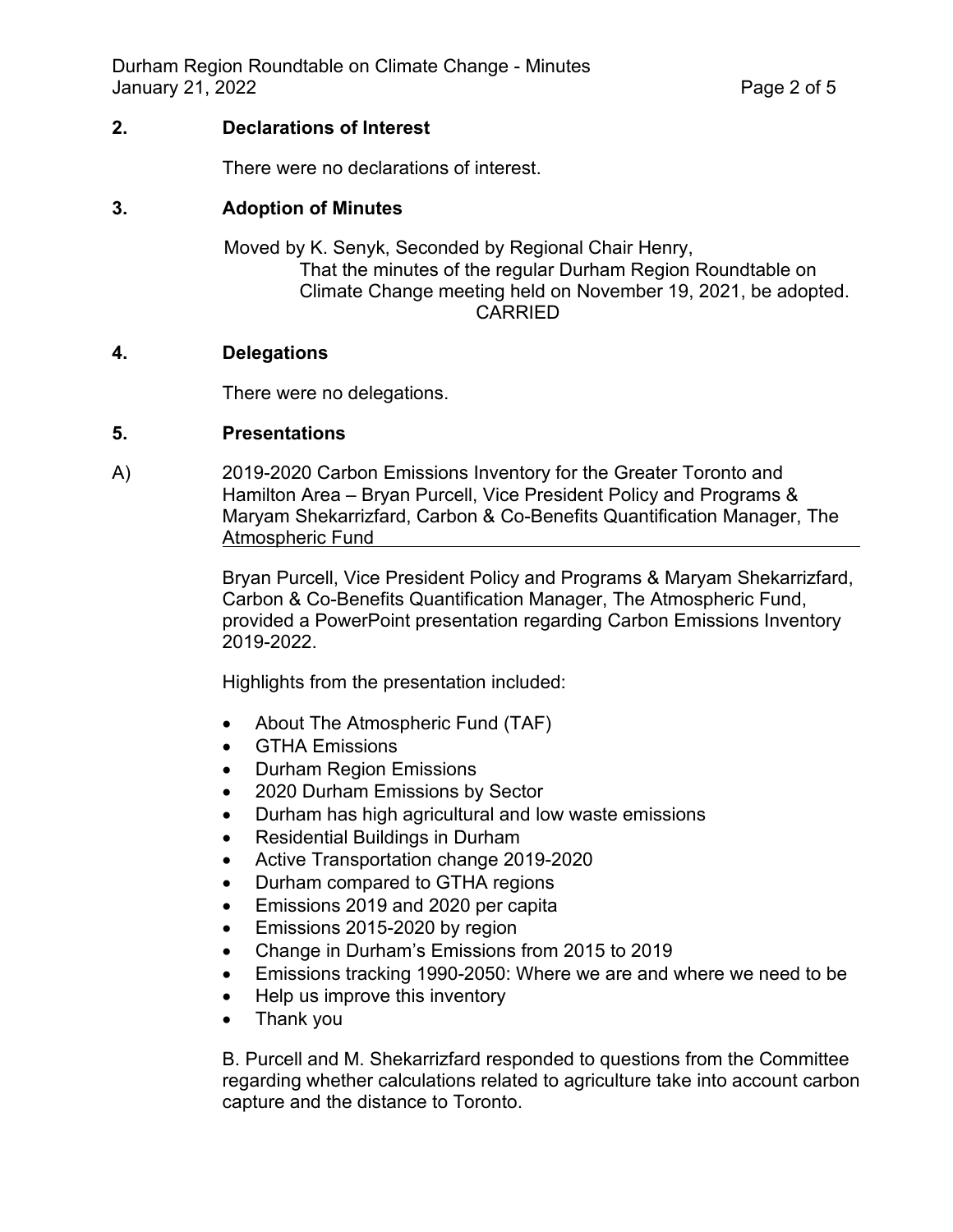### **2. Declarations of Interest**

There were no declarations of interest.

### **3. Adoption of Minutes**

Moved by K. Senyk, Seconded by Regional Chair Henry, That the minutes of the regular Durham Region Roundtable on Climate Change meeting held on November 19, 2021, be adopted. CARRIED

#### **4. Delegations**

There were no delegations.

#### **5. Presentations**

A) 2019-2020 Carbon Emissions Inventory for the Greater Toronto and Hamilton Area – Bryan Purcell, Vice President Policy and Programs & Maryam Shekarrizfard, Carbon & Co-Benefits Quantification Manager, The Atmospheric Fund

> Bryan Purcell, Vice President Policy and Programs & Maryam Shekarrizfard, Carbon & Co-Benefits Quantification Manager, The Atmospheric Fund, provided a PowerPoint presentation regarding Carbon Emissions Inventory 2019-2022.

Highlights from the presentation included:

- About The Atmospheric Fund (TAF)
- GTHA Emissions
- Durham Region Emissions
- 2020 Durham Emissions by Sector
- Durham has high agricultural and low waste emissions
- Residential Buildings in Durham
- Active Transportation change 2019-2020
- Durham compared to GTHA regions
- Emissions 2019 and 2020 per capita
- Emissions 2015-2020 by region
- Change in Durham's Emissions from 2015 to 2019
- Emissions tracking 1990-2050: Where we are and where we need to be
- Help us improve this inventory
- Thank you

B. Purcell and M. Shekarrizfard responded to questions from the Committee regarding whether calculations related to agriculture take into account carbon capture and the distance to Toronto.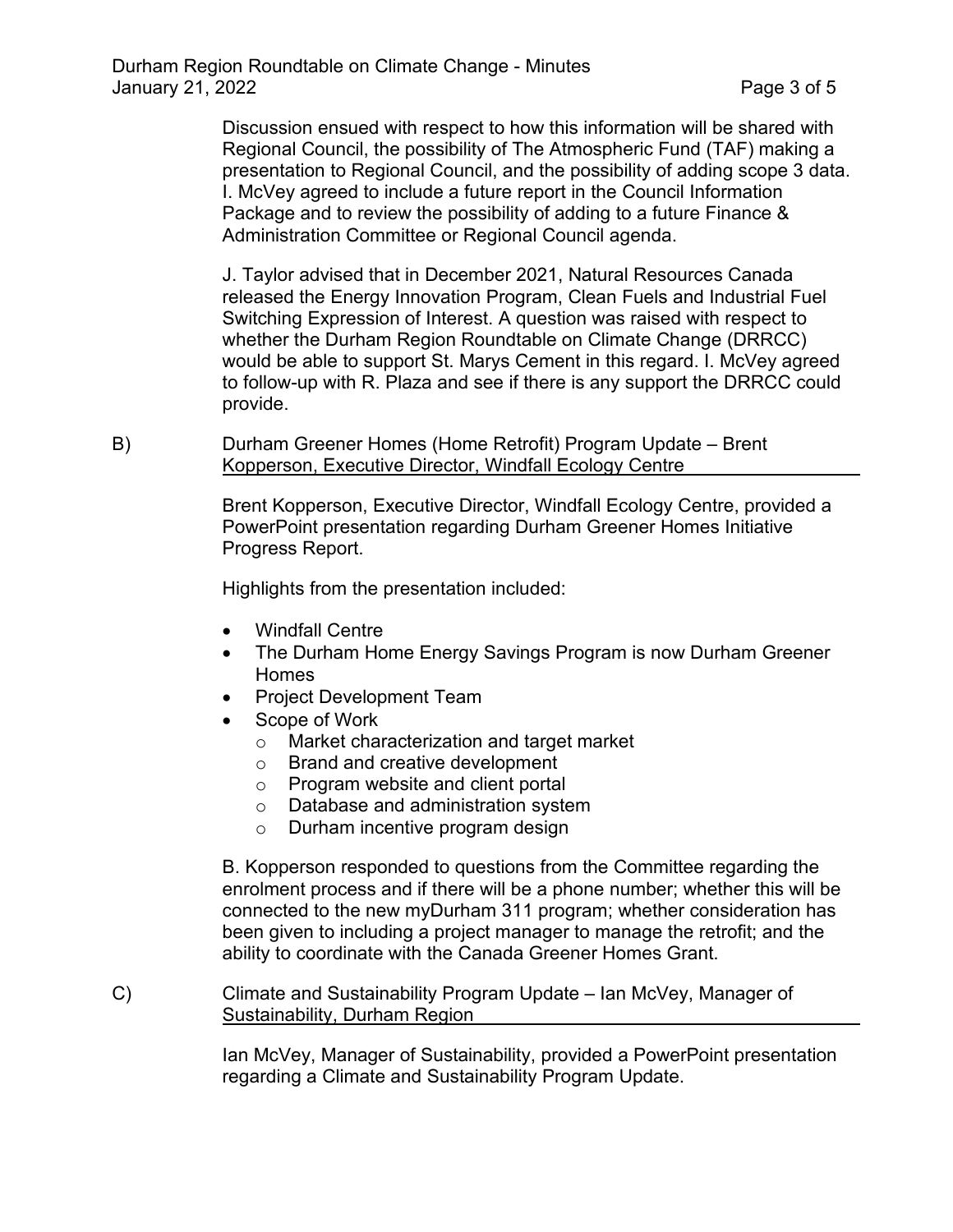Discussion ensued with respect to how this information will be shared with Regional Council, the possibility of The Atmospheric Fund (TAF) making a presentation to Regional Council, and the possibility of adding scope 3 data. I. McVey agreed to include a future report in the Council Information Package and to review the possibility of adding to a future Finance & Administration Committee or Regional Council agenda.

J. Taylor advised that in December 2021, Natural Resources Canada released the Energy Innovation Program, Clean Fuels and Industrial Fuel Switching Expression of Interest. A question was raised with respect to whether the Durham Region Roundtable on Climate Change (DRRCC) would be able to support St. Marys Cement in this regard. I. McVey agreed to follow-up with R. Plaza and see if there is any support the DRRCC could provide.

B) Durham Greener Homes (Home Retrofit) Program Update – Brent Kopperson, Executive Director, Windfall Ecology Centre

> Brent Kopperson, Executive Director, Windfall Ecology Centre, provided a PowerPoint presentation regarding Durham Greener Homes Initiative Progress Report.

Highlights from the presentation included:

- Windfall Centre
- The Durham Home Energy Savings Program is now Durham Greener Homes
- Project Development Team
- Scope of Work
	- o Market characterization and target market
	- o Brand and creative development
	- o Program website and client portal
	- o Database and administration system
	- o Durham incentive program design

B. Kopperson responded to questions from the Committee regarding the enrolment process and if there will be a phone number; whether this will be connected to the new myDurham 311 program; whether consideration has been given to including a project manager to manage the retrofit; and the ability to coordinate with the Canada Greener Homes Grant.

C) Climate and Sustainability Program Update – Ian McVey, Manager of Sustainability, Durham Region

> Ian McVey, Manager of Sustainability, provided a PowerPoint presentation regarding a Climate and Sustainability Program Update.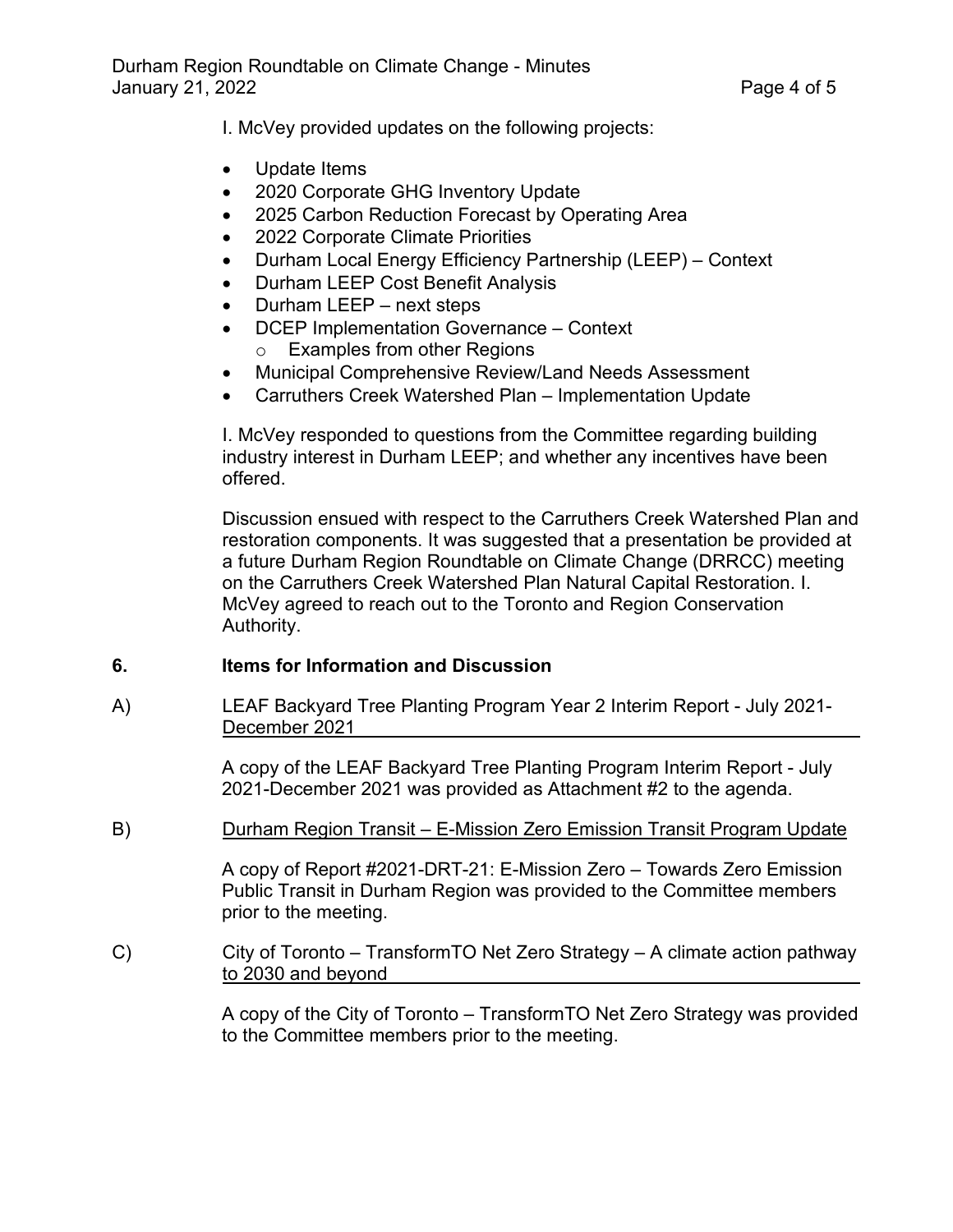I. McVey provided updates on the following projects:

- Update Items
- 2020 Corporate GHG Inventory Update
- 2025 Carbon Reduction Forecast by Operating Area
- 2022 Corporate Climate Priorities
- Durham Local Energy Efficiency Partnership (LEEP) Context
- Durham LEEP Cost Benefit Analysis
- Durham LEEP next steps
- DCEP Implementation Governance Context o Examples from other Regions
- Municipal Comprehensive Review/Land Needs Assessment
- Carruthers Creek Watershed Plan Implementation Update

I. McVey responded to questions from the Committee regarding building industry interest in Durham LEEP; and whether any incentives have been offered.

Discussion ensued with respect to the Carruthers Creek Watershed Plan and restoration components. It was suggested that a presentation be provided at a future Durham Region Roundtable on Climate Change (DRRCC) meeting on the Carruthers Creek Watershed Plan Natural Capital Restoration. I. McVey agreed to reach out to the Toronto and Region Conservation Authority.

# **6. Items for Information and Discussion**

A) LEAF Backyard Tree Planting Program Year 2 Interim Report - July 2021- December 2021

> A copy of the LEAF Backyard Tree Planting Program Interim Report - July 2021-December 2021 was provided as Attachment #2 to the agenda.

B) Durham Region Transit – E-Mission Zero Emission Transit Program Update

A copy of Report #2021-DRT-21: E-Mission Zero – Towards Zero Emission Public Transit in Durham Region was provided to the Committee members prior to the meeting.

C) City of Toronto – TransformTO Net Zero Strategy – A climate action pathway to 2030 and beyond

> A copy of the City of Toronto – TransformTO Net Zero Strategy was provided to the Committee members prior to the meeting.